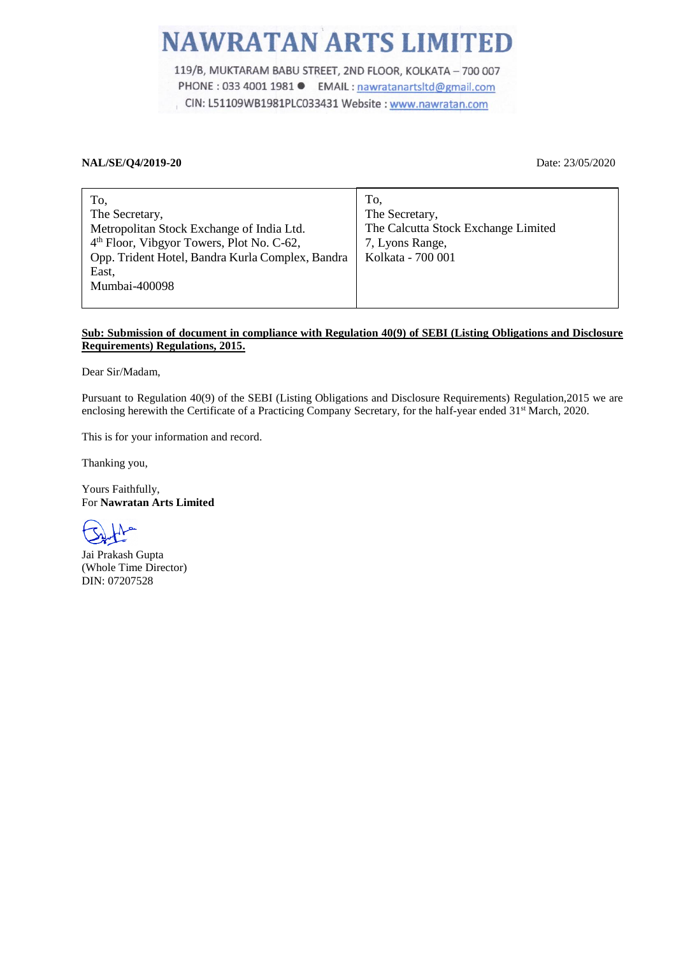## **NAWRATAN ARTS LIMITED**

119/B, MUKTARAM BABU STREET, 2ND FLOOR, KOLKATA - 700 007 PHONE : 033 4001 1981 ● EMAIL : nawratanartsltd@gmail.com CIN: L51109WB1981PLC033431 Website: www.nawratan.com

## **NAL/SE/Q4/2019-20** Date: 23/05/2020

| To,                                                   | To.                                 |
|-------------------------------------------------------|-------------------------------------|
| The Secretary,                                        | The Secretary,                      |
| Metropolitan Stock Exchange of India Ltd.             | The Calcutta Stock Exchange Limited |
| 4 <sup>th</sup> Floor, Vibgyor Towers, Plot No. C-62, | 7, Lyons Range,                     |
| Opp. Trident Hotel, Bandra Kurla Complex, Bandra      | Kolkata - 700 001                   |
| East,                                                 |                                     |
| Mumbai-400098                                         |                                     |
|                                                       |                                     |

## **Sub: Submission of document in compliance with Regulation 40(9) of SEBI (Listing Obligations and Disclosure Requirements) Regulations, 2015.**

Dear Sir/Madam,

Pursuant to Regulation 40(9) of the SEBI (Listing Obligations and Disclosure Requirements) Regulation,2015 we are enclosing herewith the Certificate of a Practicing Company Secretary, for the half-year ended 31<sup>st</sup> March, 2020.

This is for your information and record.

Thanking you,

Yours Faithfully, For **Nawratan Arts Limited**

Jai Prakash Gupta (Whole Time Director) DIN: 07207528